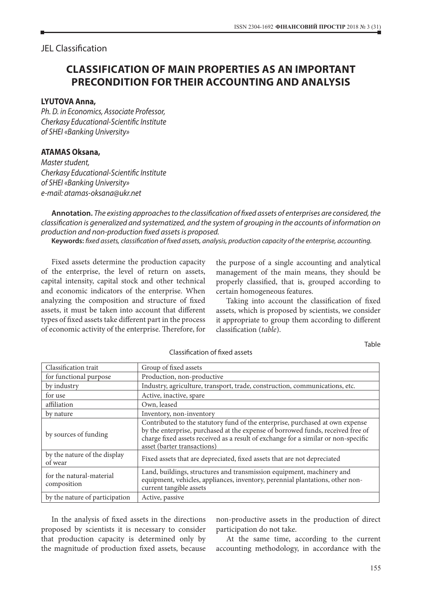JEL Classification

## **CLASSIFICATION OF MAIN PROPERTIES AS AN IMPORTANT PRECONDITION FOR THEIR ACCOUNTING AND ANALYSIS**

## **LYUTOVA Anna,**

*Ph. D. in Economics, Associate Professor, Cherkasy Educational-Scientific Institute of SHEI «Banking University»*

## **ATAMAS Oksana,**

*Master student, Cherkasy Educational-Scientific Institute of SHEI «Banking University» e-mail: atamas-oksana@ukr.net*

**Annotation.** *The existing approaches to the classification of fixed assets of enterprises are considered, the classification is generalized and systematized, and the system of grouping in the accounts of information on production and non-production fixed assets is proposed.*

**Keywords:** *fixed assets, classification of fixed assets, analysis, production capacity of the enterprise, accounting.*

Fixed assets determine the production capacity of the enterprise, the level of return on assets, capital intensity, capital stock and other technical and economic indicators of the enterprise. When analyzing the composition and structure of fixed assets, it must be taken into account that different types of fixed assets take different part in the process of economic activity of the enterprise. Therefore, for

the purpose of a single accounting and analytical management of the main means, they should be properly classified, that is, grouped according to certain homogeneous features.

Taking into account the classification of fixed assets, which is proposed by scientists, we consider it appropriate to group them according to different classification (*table*).

Table

| Classification trait                    | Group of fixed assets                                                                                                                                                                                                                                                                 |
|-----------------------------------------|---------------------------------------------------------------------------------------------------------------------------------------------------------------------------------------------------------------------------------------------------------------------------------------|
| for functional purpose                  | Production, non-productive                                                                                                                                                                                                                                                            |
| by industry                             | Industry, agriculture, transport, trade, construction, communications, etc.                                                                                                                                                                                                           |
| for use                                 | Active, inactive, spare                                                                                                                                                                                                                                                               |
| affiliation                             | Own, leased                                                                                                                                                                                                                                                                           |
| by nature                               | Inventory, non-inventory                                                                                                                                                                                                                                                              |
| by sources of funding                   | Contributed to the statutory fund of the enterprise, purchased at own expense<br>by the enterprise, purchased at the expense of borrowed funds, received free of<br>charge fixed assets received as a result of exchange for a similar or non-specific<br>asset (barter transactions) |
| by the nature of the display<br>of wear | Fixed assets that are depreciated, fixed assets that are not depreciated                                                                                                                                                                                                              |
| for the natural-material<br>composition | Land, buildings, structures and transmission equipment, machinery and<br>equipment, vehicles, appliances, inventory, perennial plantations, other non-<br>current tangible assets                                                                                                     |
| by the nature of participation          | Active, passive                                                                                                                                                                                                                                                                       |

Classification of fixed assets

In the analysis of fixed assets in the directions proposed by scientists it is necessary to consider that production capacity is determined only by the magnitude of production fixed assets, because non-productive assets in the production of direct participation do not take.

At the same time, according to the current accounting methodology, in accordance with the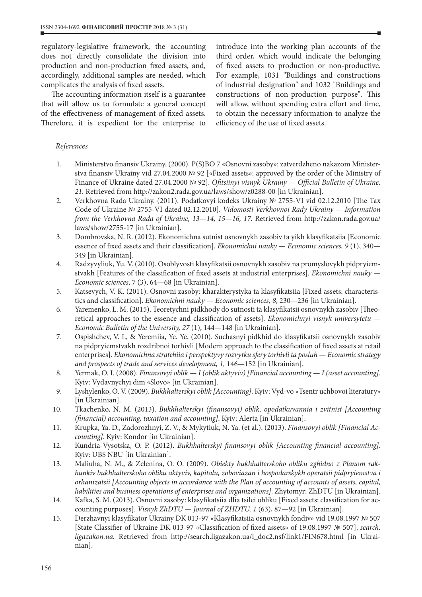regulatory-legislative framework, the accounting does not directly consolidate the division into production and non-production fixed assets, and, accordingly, additional samples are needed, which complicates the analysis of fixed assets.

The accounting information itself is a guarantee that will allow us to formulate a general concept of the effectiveness of management of fixed assets. Therefore, it is expedient for the enterprise to introduce into the working plan accounts of the third order, which would indicate the belonging of fixed assets to production or non-productive. For example, 1031 "Buildings and constructions of industrial designation" and 1032 "Buildings and constructions of non-production purpose". This will allow, without spending extra effort and time, to obtain the necessary information to analyze the efficiency of the use of fixed assets.

## *References*

- 1. Ministerstvо finansiv Ukrainy. (2000). P(S)BO 7 «Osnovni zasoby»: zatverdzheno nakazom Ministerstva finansiv Ukrainy vid 27.04.2000 № 92 [«Fixed assets»: approved by the order of the Ministry of Finance of Ukraine dated 27.04.2000 № 92]. *Ofitsiinyi visnyk Ukrainy — Official Bulletin of Ukraine, 21.* Retrieved from http://zakon2.rada.gov.ua/laws/show/z0288-00 [in Ukrainian].
- 2. Verkhovna Rada Ukrainy. (2011). Podatkovyi kodeks Ukrainy № 2755-VI vid 02.12.2010 [The Tax Code of Ukraine № 2755-VI dated 02.12.2010]. *Vidomosti Verkhovnoi Rady Ukrainy — Information from the Verkhovna Rada of Ukraine, 13—14, 15—16, 17*. Retrieved from http://zakon.rada.gov.ua/ laws/show/2755-17 [in Ukrainian].
- 3. Dombrovska, N. R. (2012). Ekonomichna sutnist osnovnykh zasobiv ta yikh klasyfikatsiia [Economic essence of fixed assets and their classification]. *Ekonomichni nauky — Economic sciences, 9* (1), 340— 349 [in Ukrainian].
- 4. Radzyvyliuk, Yu. V. (2010). Osoblyvosti klasyfikatsii osnovnykh zasobiv na promyslovykh pidpryiemstvakh [Features of the classification of fixed assets at industrial enterprises]. *Ekonomichni nauky* — *Economic sciences*, 7 (3), 64—68 [in Ukrainian].
- 5. Katsevych, V. K. (2011). Osnovni zasoby: kharakterystyka ta klasyfikatsiia [Fixed assets: characteristics and classification]. *Ekonomichni nauky* — *Economic sciences, 8*, 230—236 [in Ukrainian].
- 6. Yaremenko, L. M. (2015). Teoretychni pidkhody do sutnosti ta klasyfikatsii osnovnykh zasobiv [Theoretical approaches to the essence and classification of assets]. *Ekonomichnyi visnyk universytetu — Economic Bulletin of the University, 27* (1), 144—148 [in Ukrainian].
- 7. Ospishchev, V. I., & Yeremiia, Ye. Ye. (2010). Suchasnyi pidkhid do klasyfikatsii osnovnykh zasobiv na pidpryiemstvakh rozdribnoi torhivli [Modern approach to the classification of fixed assets at retail enterprises]. *Ekonomichna stratehiia i perspektyvy rozvytku sfery torhivli ta posluh — Economic strategy and prospects of trade and services development, 1,* 146—152 [in Ukrainian].
- 8. Yermak, O. I. (2008). *Finansovyi oblik I* (oblik aktyviv) [Financial accounting *I* (asset accounting]. Kyiv: Vydavnychyi dim «Slovo» [in Ukrainian].
- 9. Lyshylenko, O. V. (2009). *Bukhhalterskyi oblik [Accounting]*. Kyiv: Vyd-vo «Tsentr uchbovoi literatury» [in Ukrainian].
- 10. Tkachenko, N. M. (2013). *Bukhhalterskyi (finansovyi) oblik, opodatkuvannia i zvitnist [Accounting (financial) accounting, taxation and accounting]*. Kyiv: Alerta [in Ukrainian].
- 11. Krupka, Ya. D., Zadorozhnyi, Z. V., & Mykytiuk, N. Ya. (et al.). (2013). *Finansovyi oblik [Financial Accounting]*. Kyiv: Kondor [in Ukrainian].
- 12. Kundria-Vysotska, O. P. (2012). *Bukhhalterskyi finansovyi oblik [Accounting financial accounting]*. Kyiv: UBS NBU [in Ukrainian].
- 13. Maliuha, N. M., & Zelenina, O. O. (2009). *Obiekty bukhhalterskoho obliku zghidno z Planom rakhunkiv bukhhalterskoho obliku aktyviv, kapitalu, zoboviazan i hospodarskykh operatsii pidpryiemstva i orhanizatsii [Accounting objects in accordance with the Plan of accounting of accounts of assets, capital, liabilities and business operations of enterprises and organizations]*. Zhytomyr: ZhDTU [in Ukrainian].
- 14. Kafka, S. M. (2013). Osnovni zasoby: klasyfikatsiia dlia tsilei obliku [Fixed assets: classification for accounting purposes]. *Visnyk ZhDTU — Journal of ZHDTU, 1* (63), 87—92 [in Ukrainian].
- 15. Derzhavnyi klasyfikator Ukrainy DK 013-97 «Klasyfikatsiia osnovnykh fondiv» vid 19.08.1997 № 507 [State Classifier of Ukraine DK 013-97 «Classification of fixed assets» of 19.08.1997 № 507]. *search. ligazakon.ua.* Retrieved from http://search.ligazakon.ua/l\_doc2.nsf/link1/FIN678.html [in Ukrainian].